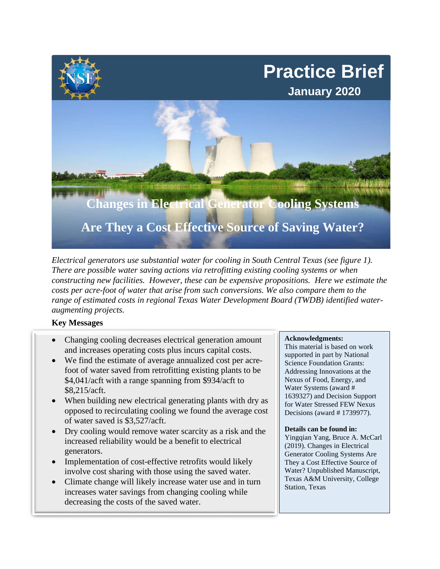

*Electrical generators use substantial water for cooling in South Central Texas (see figure 1). There are possible water saving actions via retrofitting existing cooling systems or when constructing new facilities. However, these can be expensive propositions. Here we estimate the costs per acre-foot of water that arise from such conversions. We also compare them to the range of estimated costs in regional Texas Water Development Board (TWDB) identified wateraugmenting projects.* 

## **Key Messages**

- Changing cooling decreases electrical generation amount and increases operating costs plus incurs capital costs.
- We find the estimate of average annualized cost per acrefoot of water saved from retrofitting existing plants to be \$4,041/acft with a range spanning from \$934/acft to \$8,215/acft.
- When building new electrical generating plants with dry as opposed to recirculating cooling we found the average cost of water saved is \$3,527/acft.
- Dry cooling would remove water scarcity as a risk and the increased reliability would be a benefit to electrical generators.
- Implementation of cost-effective retrofits would likely involve cost sharing with those using the saved water.
- Climate change will likely increase water use and in turn increases water savings from changing cooling while decreasing the costs of the saved water.

## **Acknowledgments:**

This material is based on work supported in part by National Science Foundation Grants: Addressing Innovations at the Nexus of Food, Energy, and Water Systems (award # 1639327) and Decision Support for Water Stressed FEW Nexus Decisions (award # 1739977).

## **Details can be found in:**

Yingqian Yang, Bruce A. McCarl (2019). Changes in Electrical Generator Cooling Systems Are They a Cost Effective Source of Water? Unpublished Manuscript, Texas A&M University, College Station, Texas